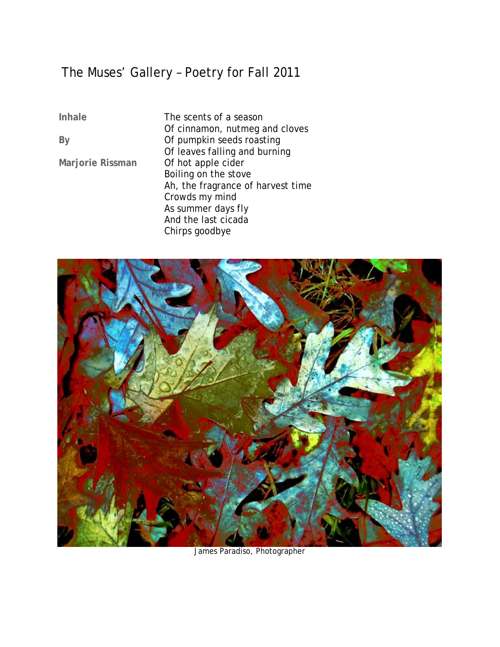## The Muses' Gallery – Poetry for Fall 2011

**Inhale** 

**By** 

**Marjorie Rissman** 

The scents of a season Of cinnamon, nutmeg and cloves Of pumpkin seeds roasting Of leaves falling and burning Of hot apple cider Boiling on the stove Ah, the fragrance of harvest time Crowds my mind As summer days fly And the last cicada Chirps goodbye



James Paradiso, Photographer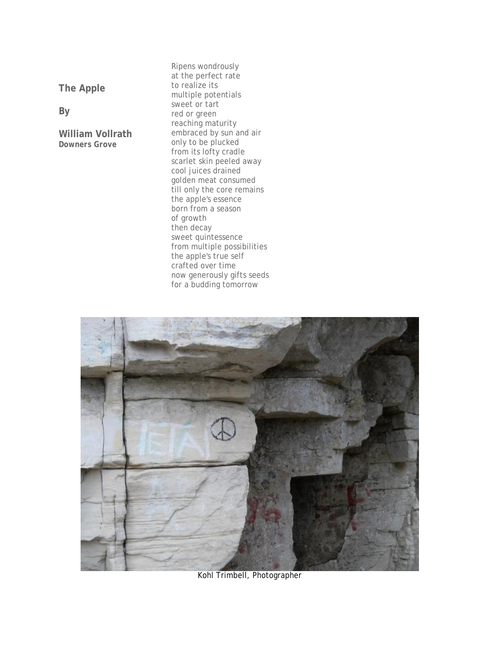**The Apple** 

**By** 

**William Vollrath**  *Downers Grove*

Ripens wondrously at the perfect rate to realize its multiple potentials sweet or tart red or green reaching maturity embraced by sun and air only to be plucked from its lofty cradle scarlet skin peeled away cool juices drained golden meat consumed till only the core remains the apple's essence born from a season of growth then decay sweet quintessence from multiple possibilities the apple's true self crafted over time now generously gifts seeds for a budding tomorrow



Kohl Trimbell, Photographer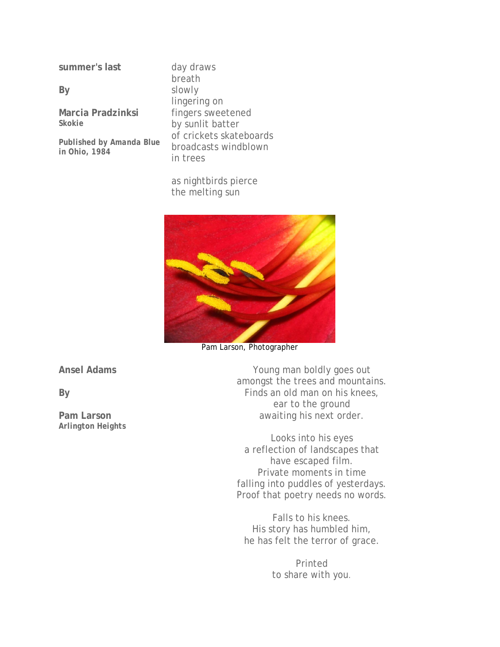**summer's last** 

**By** 

**Marcia Pradzinksi**  *Skokie* 

*Published by Amanda Blue in Ohio, 1984*

day draws breath slowly lingering on fingers sweetened by sunlit batter of crickets skateboards broadcasts windblown in trees

as nightbirds pierce the melting sun



Pam Larson, Photographer

**Ansel Adams** 

**By** 

**Pam Larson**  *Arlington Heights*

Young man boldly goes out amongst the trees and mountains. Finds an old man on his knees, ear to the ground awaiting his next order.

Looks into his eyes a reflection of landscapes that have escaped film. Private moments in time falling into puddles of yesterdays. Proof that poetry needs no words.

Falls to his knees. His story has humbled him, he has felt the terror of grace.

> Printed to share with you.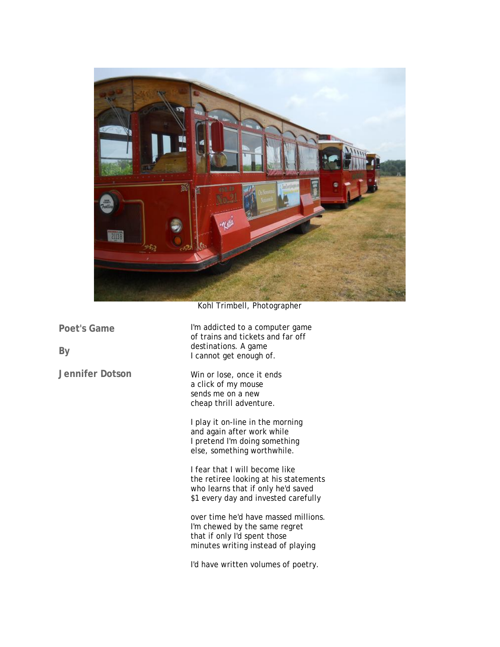

Kohl Trimbell, Photographer

**Poet's Game** 

**By** 

**Jennifer Dotson** 

I'm addicted to a computer game of trains and tickets and far off destinations. A game I cannot get enough of.

Win or lose, once it ends a click of my mouse sends me on a new cheap thrill adventure.

I play it on-line in the morning and again after work while I pretend I'm doing something else, something worthwhile.

I fear that I will become like the retiree looking at his statements who learns that if only he'd saved \$1 every day and invested carefully

over time he'd have massed millions. I'm chewed by the same regret that if only I'd spent those minutes writing instead of playing

I'd have written volumes of poetry.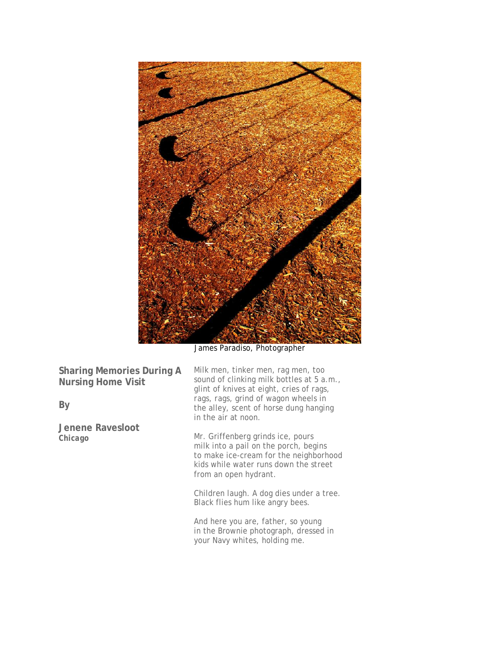

James Paradiso, Photographer

**Sharing Memories During A Nursing Home Visit** 

**By** 

**Jenene Ravesloot**  *Chicago*

Milk men, tinker men, rag men, too sound of clinking milk bottles at 5 a.m., glint of knives at eight, cries of *rags*, *rags*, *rags*, grind of wagon wheels in the alley, scent of horse dung hanging in the air at noon.

Mr. Griffenberg grinds ice, pours milk into a pail on the porch, begins to make ice-cream for the neighborhood kids while water runs down the street from an open hydrant.

Children laugh. A dog dies under a tree. Black flies hum like angry bees.

And here you are, father, so young in the Brownie photograph, dressed in your Navy whites, holding me.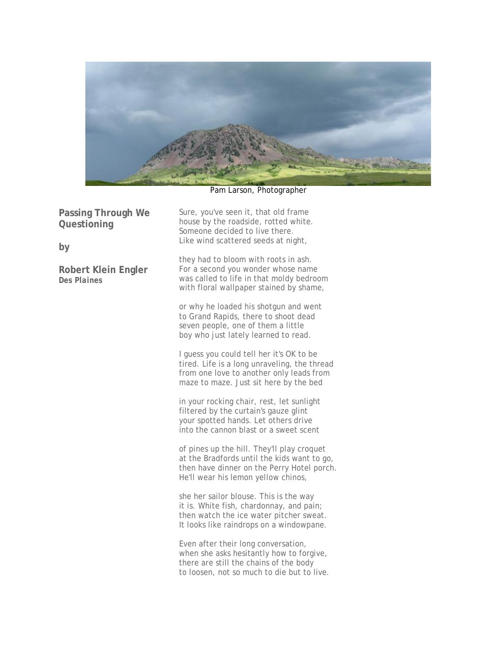

Pam Larson, Photographer

**Passing Through We Questioning** 

**by** 

**Robert Klein Engler**  *Des Plaines* 

Sure, you've seen it, that old frame house by the roadside, rotted white. Someone decided to live there. Like wind scattered seeds at night,

they had to bloom with roots in ash. For a second you wonder whose name was called to life in that moldy bedroom with floral wallpaper stained by shame,

or why he loaded his shotgun and went to Grand Rapids, there to shoot dead seven people, one of them a little boy who just lately learned to read.

I guess you could tell her it's OK to be tired. Life is a long unraveling, the thread from one love to another only leads from maze to maze. Just sit here by the bed

in your rocking chair, rest, let sunlight filtered by the curtain's gauze glint your spotted hands. Let others drive into the cannon blast or a sweet scent

of pines up the hill. They'll play croquet at the Bradfords until the kids want to go, then have dinner on the Perry Hotel porch. He'll wear his lemon yellow chinos,

she her sailor blouse. This is the way it is. White fish, chardonnay, and pain; then watch the ice water pitcher sweat. It looks like raindrops on a windowpane.

Even after their long conversation, when she asks hesitantly how to forgive, there are still the chains of the body to loosen, not so much to die but to live.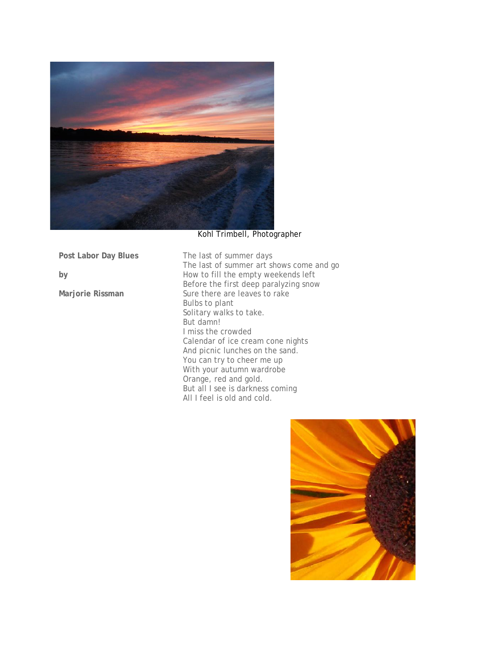

## Kohl Trimbell, Photographer

**Post Labor Day Blues** 

**by** 

**Marjorie Rissman** 

The last of summer days The last of summer art shows come and go How to fill the empty weekends left Before the first deep paralyzing snow Sure there are leaves to rake Bulbs to plant Solitary walks to take. But damn! I miss the crowded Calendar of ice cream cone nights And picnic lunches on the sand. You can try to cheer me up With your autumn wardrobe Orange, red and gold. But all I see is darkness coming All I feel is old and cold.

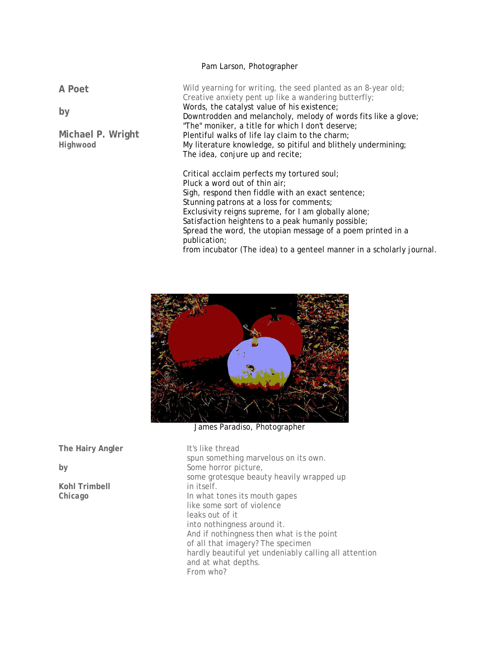## Pam Larson, Photographer

**A Poet** 

**by** 

**Michael P. Wright**  *Highwood*

Wild yearning for writing, the seed planted as an 8-year old; Creative anxiety pent up like a wandering butterfly; Words, the catalyst value of his existence; Downtrodden and melancholy, melody of words fits like a glove; "The" moniker, a title for which I don't deserve; Plentiful walks of life lay claim to the charm; My literature knowledge, so pitiful and blithely undermining; The idea, conjure up and recite;

Critical acclaim perfects my tortured soul; Pluck a word out of thin air; Sigh, respond then fiddle with an exact sentence; Stunning patrons at a loss for comments; Exclusivity reigns supreme, for I am globally alone; Satisfaction heightens to a peak humanly possible; Spread the word, the utopian message of a poem printed in a publication; from incubator (The idea) to a genteel manner in a scholarly journal.



James Paradiso, Photographer

**The Hairy Angler** 

**by** 

**Kohl Trimbell**  *Chicago* 

It's like thread spun something marvelous on its own. Some horror picture, some grotesque beauty heavily wrapped up in itself. In what tones its mouth gapes like some sort of violence leaks out of it into nothingness around it. And if nothingness then what is the point of all that imagery? The specimen hardly beautiful yet undeniably calling all attention and at what depths. From who?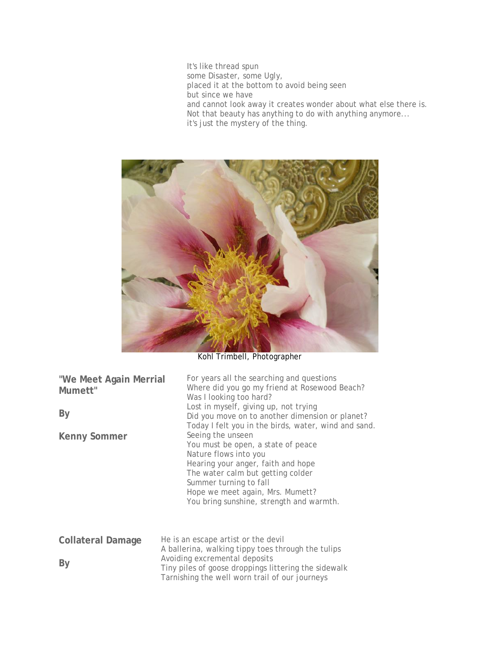It's like thread spun some Disaster, some Ugly, placed it at the bottom to avoid being seen but since we have and cannot look away it creates wonder about what else there is. Not that beauty has anything to do with anything anymore... it's just the mystery of the thing.



Kohl Trimbell, Photographer

| "We Meet Again Merrial<br>Mumett"<br>By<br>Kenny Sommer | For years all the searching and questions<br>Where did you go my friend at Rosewood Beach?<br>Was I looking too hard?<br>Lost in myself, giving up, not trying<br>Did you move on to another dimension or planet?<br>Today I felt you in the birds, water, wind and sand.<br>Seeing the unseen<br>You must be open, a state of peace<br>Nature flows into you<br>Hearing your anger, faith and hope<br>The water calm but getting colder<br>Summer turning to fall<br>Hope we meet again, Mrs. Mumett?<br>You bring sunshine, strength and warmth. |
|---------------------------------------------------------|----------------------------------------------------------------------------------------------------------------------------------------------------------------------------------------------------------------------------------------------------------------------------------------------------------------------------------------------------------------------------------------------------------------------------------------------------------------------------------------------------------------------------------------------------|
| <b>Collateral Damage</b>                                | He is an escape artist or the devil<br>A hollerine, walking tinny toos through the tuling                                                                                                                                                                                                                                                                                                                                                                                                                                                          |

**By**  A ballerina, walking tippy toes through the tulips Avoiding excremental deposits Tiny piles of goose droppings littering the sidewalk Tarnishing the well worn trail of our journeys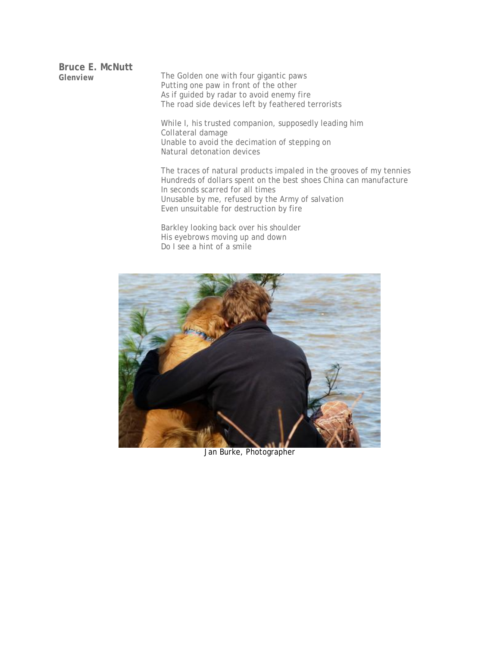**Bruce E. McNutt** 

The Golden one with four gigantic paws Putting one paw in front of the other As if guided by radar to avoid enemy fire The road side devices left by feathered terrorists

While I, his trusted companion, supposedly leading him Collateral damage Unable to avoid the decimation of stepping on Natural detonation devices

The traces of natural products impaled in the grooves of my tennies Hundreds of dollars spent on the best shoes China can manufacture In seconds scarred for all times Unusable by me, refused by the Army of salvation Even unsuitable for destruction by fire

Barkley looking back over his shoulder His eyebrows moving up and down Do I see a hint of a smile



Jan Burke, Photographer